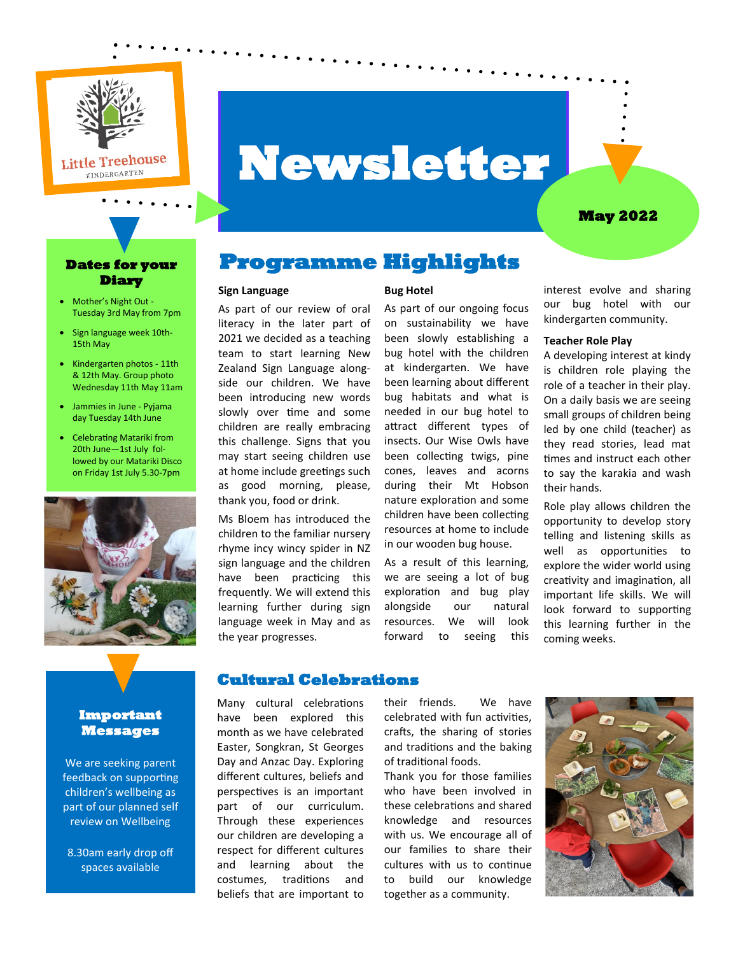

# **Newsletter**

#### **May 2022**

#### **Dates for your Diary**

- Mother's Night Out Tuesday 3rd May from 7pm
- Sign language week 10th-15th May
- Kindergarten photos 11th & 12th May. Group photo Wednesday 11th May 11am
- Jammies in June Pyjama day Tuesday 14th June
- Celebrating Matariki from 20th June—1st July followed by our Matariki Disco on Friday 1st July 5.30-7pm



#### **Important Messages**

We are seeking parent feedback on supporting children's wellbeing as part of our planned self review on Wellbeing

8.30am early drop off spaces available

# **Programme Highlights**

#### **Sign Language**

As part of our review of oral literacy in the later part of 2021 we decided as a teaching team to start learning New Zealand Sign Language alongside our children. We have been introducing new words slowly over time and some children are really embracing this challenge. Signs that you may start seeing children use at home include greetings such as good morning, please, thank you, food or drink.

Ms Bloem has introduced the children to the familiar nursery rhyme incy wincy spider in NZ sign language and the children have been practicing this frequently. We will extend this learning further during sign language week in May and as the year progresses.

#### **Bug Hotel**

As part of our ongoing focus on sustainability we have been slowly establishing a bug hotel with the children at kindergarten. We have been learning about different bug habitats and what is needed in our bug hotel to attract different types of insects. Our Wise Owls have been collecting twigs, pine cones, leaves and acorns during their Mt Hobson nature exploration and some children have been collecting resources at home to include in our wooden bug house.

As a result of this learning, we are seeing a lot of bug exploration and bug play alongside our natural resources. We will look forward to seeing this

interest evolve and sharing our bug hotel with our kindergarten community.

#### **Teacher Role Play**

A developing interest at kindy is children role playing the role of a teacher in their play. On a daily basis we are seeing small groups of children being led by one child (teacher) as they read stories, lead mat times and instruct each other to say the karakia and wash their hands.

Role play allows children the opportunity to develop story telling and listening skills as well as opportunities to explore the wider world using creativity and imagination, all important life skills. We will look forward to supporting this learning further in the coming weeks.

#### **Cultural Celebrations**

Many cultural celebrations have been explored this month as we have celebrated Easter, Songkran, St Georges Day and Anzac Day. Exploring different cultures, beliefs and perspectives is an important part of our curriculum. Through these experiences our children are developing a respect for different cultures and learning about the costumes, traditions and beliefs that are important to their friends. We have celebrated with fun activities, crafts, the sharing of stories and traditions and the baking of traditional foods.

Thank you for those families who have been involved in these celebrations and shared knowledge and resources with us. We encourage all of our families to share their cultures with us to continue to build our knowledge together as a community.